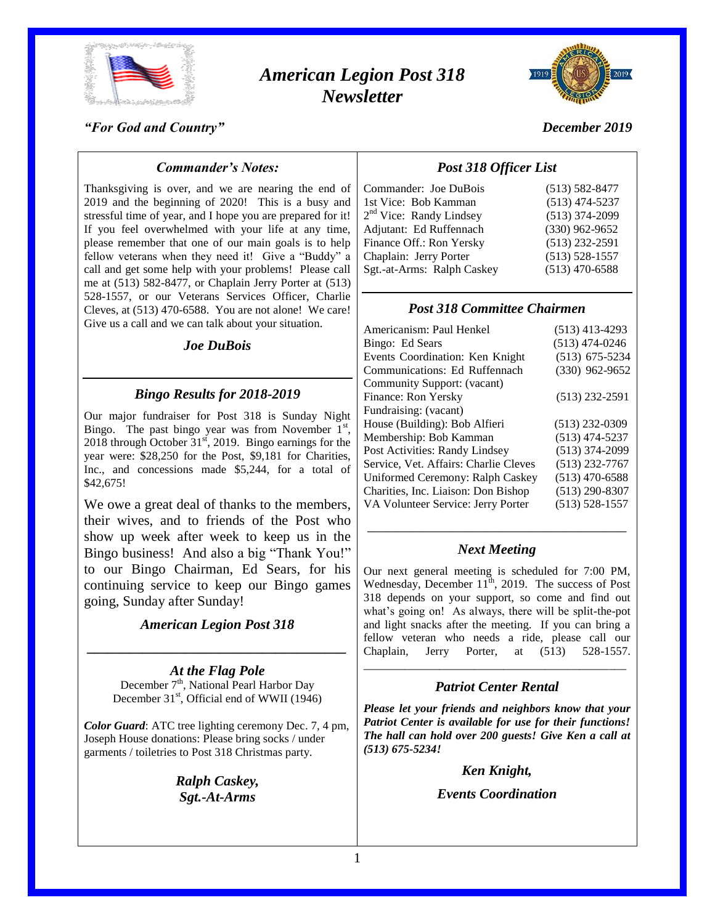

# *American Legion Post 318 Newsletter*



*December 2019*

### *"For God and Country"*

### *Commander's Notes:*

Thanksgiving is over, and we are nearing the end of 2019 and the beginning of 2020! This is a busy and stressful time of year, and I hope you are prepared for it! If you feel overwhelmed with your life at any time, please remember that one of our main goals is to help fellow veterans when they need it! Give a "Buddy" a call and get some help with your problems! Please call me at (513) 582-8477, or Chaplain Jerry Porter at (513) 528-1557, or our Veterans Services Officer, Charlie Cleves, at (513) 470-6588. You are not alone! We care! Give us a call and we can talk about your situation.

#### *Joe DuBois*

### *Bingo Results for 2018-2019*

Our major fundraiser for Post 318 is Sunday Night Bingo. The past bingo year was from November  $1<sup>st</sup>$ , 2018 through October  $31<sup>st</sup>$ , 2019. Bingo earnings for the year were: \$28,250 for the Post, \$9,181 for Charities, Inc., and concessions made \$5,244, for a total of \$42,675!

We owe a great deal of thanks to the members, their wives, and to friends of the Post who show up week after week to keep us in the Bingo business! And also a big "Thank You!" to our Bingo Chairman, Ed Sears, for his continuing service to keep our Bingo games going, Sunday after Sunday!

#### *American Legion Post 318*

*\_\_\_\_\_\_\_\_\_\_\_\_\_\_\_\_\_\_\_\_\_\_\_\_\_\_\_\_\_\_\_\_\_\_\_\_\_*

*At the Flag Pole* December 7<sup>th</sup>, National Pearl Harbor Day December  $31<sup>st</sup>$ , Official end of WWII (1946)

*Color Guard*: ATC tree lighting ceremony Dec. 7, 4 pm, Joseph House donations: Please bring socks / under garments / toiletries to Post 318 Christmas party.

> *Ralph Caskey, Sgt.-At-Arms*

### *Post 318 Officer List*

| Commander: Joe DuBois               | $(513) 582 - 8477$ |
|-------------------------------------|--------------------|
| 1st Vice: Bob Kamman                | $(513)$ 474-5237   |
| 2 <sup>nd</sup> Vice: Randy Lindsey | $(513)$ 374-2099   |
| Adjutant: Ed Ruffennach             | $(330)$ 962-9652   |
| Finance Off.: Ron Yersky            | $(513)$ 232-2591   |
| Chaplain: Jerry Porter              | $(513) 528 - 1557$ |
| Sgt.-at-Arms: Ralph Caskey          | $(513)$ 470-6588   |
|                                     |                    |

### *Post 318 Committee Chairmen*

| Americanism: Paul Henkel              | $(513)$ 413-4293   |
|---------------------------------------|--------------------|
| Bingo: Ed Sears                       | $(513)$ 474-0246   |
| Events Coordination: Ken Knight       | $(513)$ 675-5234   |
| Communications: Ed Ruffennach         | $(330)$ 962-9652   |
| Community Support: (vacant)           |                    |
| Finance: Ron Yersky                   | $(513)$ 232-2591   |
| Fundraising: (vacant)                 |                    |
| House (Building): Bob Alfieri         | $(513)$ 232-0309   |
| Membership: Bob Kamman                | $(513)$ 474-5237   |
| Post Activities: Randy Lindsey        | $(513)$ 374-2099   |
| Service, Vet. Affairs: Charlie Cleves | $(513)$ 232-7767   |
| Uniformed Ceremony: Ralph Caskey      | $(513)$ 470-6588   |
| Charities, Inc. Liaison: Don Bishop   | $(513)$ 290-8307   |
| VA Volunteer Service: Jerry Porter    | $(513) 528 - 1557$ |
|                                       |                    |

# \_\_\_\_\_\_\_\_\_\_\_\_\_\_\_\_\_\_\_\_\_\_\_\_\_\_\_\_\_\_\_\_\_\_\_\_\_ *Next Meeting*

Our next general meeting is scheduled for 7:00 PM, Wednesday, December  $11^{th}$ , 2019. The success of Post 318 depends on your support, so come and find out what's going on! As always, there will be split-the-pot and light snacks after the meeting. If you can bring a fellow veteran who needs a ride, please call our Chaplain, Jerry Porter, at (513) 528-1557.

## \_\_\_\_\_\_\_\_\_\_\_\_\_\_\_\_\_\_\_\_\_\_\_\_\_\_\_\_\_\_\_\_\_\_\_\_\_\_\_\_\_\_\_\_\_ *Patriot Center Rental*

*Please let your friends and neighbors know that your Patriot Center is available for use for their functions! The hall can hold over 200 guests! Give Ken a call at (513) 675-5234!*

#### *Ken Knight,*

*Events Coordination*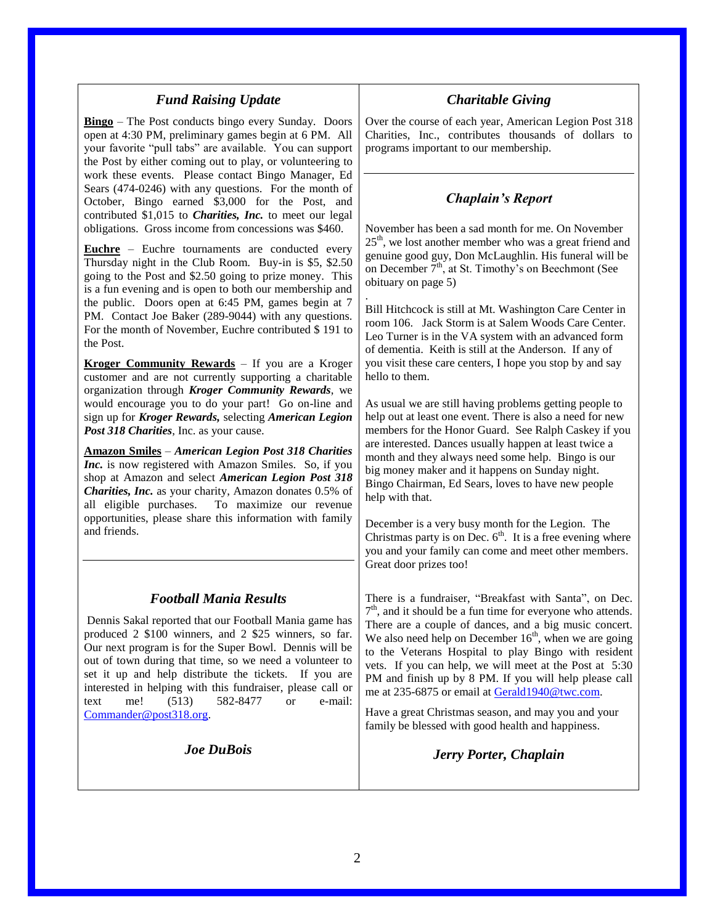### *Fund Raising Update*

**Bingo** – The Post conducts bingo every Sunday. Doors open at 4:30 PM, preliminary games begin at 6 PM. All your favorite "pull tabs" are available. You can support the Post by either coming out to play, or volunteering to work these events. Please contact Bingo Manager, Ed Sears (474-0246) with any questions. For the month of October, Bingo earned \$3,000 for the Post, and contributed \$1,015 to *Charities, Inc.* to meet our legal obligations. Gross income from concessions was \$460.

**Euchre** – Euchre tournaments are conducted every Thursday night in the Club Room. Buy-in is \$5, \$2.50 going to the Post and \$2.50 going to prize money. This is a fun evening and is open to both our membership and the public. Doors open at 6:45 PM, games begin at 7 PM. Contact Joe Baker (289-9044) with any questions. For the month of November, Euchre contributed \$ 191 to the Post.

**Kroger Community Rewards** – If you are a Kroger customer and are not currently supporting a charitable organization through *Kroger Community Rewards*, we would encourage you to do your part! Go on-line and sign up for *Kroger Rewards,* selecting *American Legion Post 318 Charities*, Inc. as your cause.

**Amazon Smiles** – *American Legion Post 318 Charities Inc.* is now registered with Amazon Smiles. So, if you shop at Amazon and select *American Legion Post 318 Charities, Inc.* as your charity, Amazon donates 0.5% of all eligible purchases. To maximize our revenue opportunities, please share this information with family and friends.

### *Football Mania Results*

Dennis Sakal reported that our Football Mania game has produced 2 \$100 winners, and 2 \$25 winners, so far. Our next program is for the Super Bowl. Dennis will be out of town during that time, so we need a volunteer to set it up and help distribute the tickets. If you are interested in helping with this fundraiser, please call or text me! (513) 582-8477 or e-mail: [Commander@post318.org.](mailto:Commander@post318.org)

*Joe DuBois*

### *Charitable Giving*

Over the course of each year, American Legion Post 318 Charities, Inc., contributes thousands of dollars to programs important to our membership.

### *Chaplain's Report*

November has been a sad month for me. On November  $25<sup>th</sup>$ , we lost another member who was a great friend and genuine good guy, Don McLaughlin. His funeral will be on December  $7<sup>th</sup>$ , at St. Timothy's on Beechmont (See obituary on page 5)

Bill Hitchcock is still at Mt. Washington Care Center in room 106. Jack Storm is at Salem Woods Care Center. Leo Turner is in the VA system with an advanced form of dementia. Keith is still at the Anderson. If any of you visit these care centers, I hope you stop by and say hello to them.

As usual we are still having problems getting people to help out at least one event. There is also a need for new members for the Honor Guard. See Ralph Caskey if you are interested. Dances usually happen at least twice a month and they always need some help. Bingo is our big money maker and it happens on Sunday night. Bingo Chairman, Ed Sears, loves to have new people help with that.

December is a very busy month for the Legion. The Christmas party is on Dec.  $6<sup>th</sup>$ . It is a free evening where you and your family can come and meet other members. Great door prizes too!

There is a fundraiser, "Breakfast with Santa", on Dec.  $7<sup>th</sup>$ , and it should be a fun time for everyone who attends. There are a couple of dances, and a big music concert. We also need help on December  $16<sup>th</sup>$ , when we are going to the Veterans Hospital to play Bingo with resident vets. If you can help, we will meet at the Post at 5:30 PM and finish up by 8 PM. If you will help please call me at 235-6875 or email at [Gerald1940@twc.com.](mailto:Gerald1940@twc.com)

Have a great Christmas season, and may you and your family be blessed with good health and happiness.

*Jerry Porter, Chaplain*

.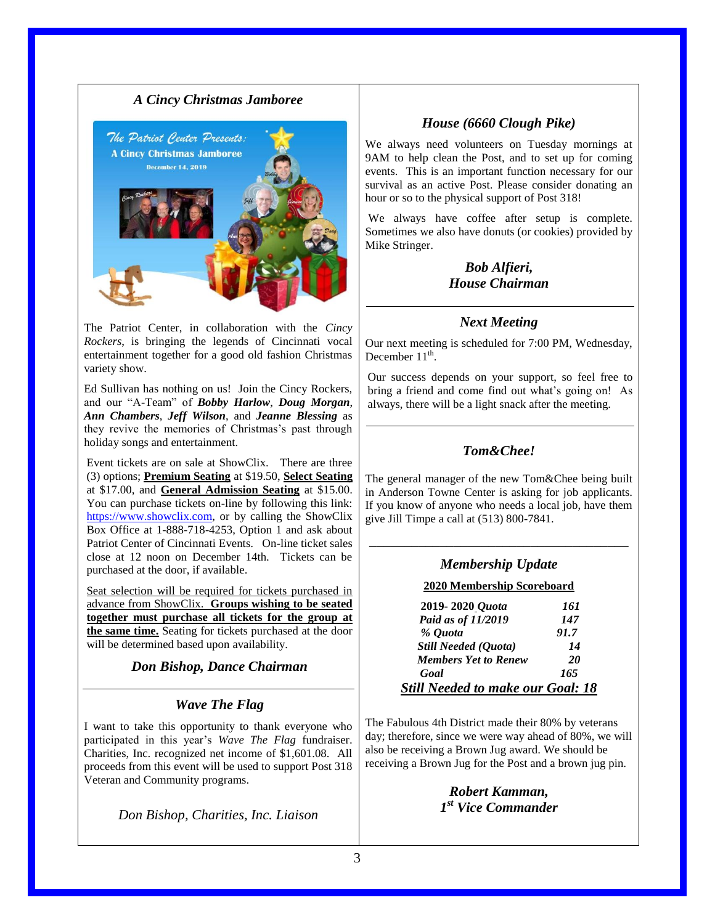

The Patriot Center, in collaboration with the *Cincy Rockers*, is bringing the legends of Cincinnati vocal entertainment together for a good old fashion Christmas variety show.

Ed Sullivan has nothing on us! Join the Cincy Rockers, and our "A-Team" of *Bobby Harlow*, *Doug Morgan*, *Ann Chambers*, *Jeff Wilson*, and *Jeanne Blessing* as they revive the memories of Christmas's past through holiday songs and entertainment.

Event tickets are on sale at ShowClix. There are three (3) options; **Premium Seating** at \$19.50, **Select Seating** at \$17.00, and **General Admission Seating** at \$15.00. You can purchase tickets on-line by following this link: [https://www.showclix.com,](https://www.showclix.com/) or by calling the ShowClix Box Office at 1-888-718-4253, Option 1 and ask about Patriot Center of Cincinnati Events. On-line ticket sales close at 12 noon on December 14th. Tickets can be purchased at the door, if available.

Seat selection will be required for tickets purchased in advance from ShowClix. **Groups wishing to be seated together must purchase all tickets for the group at the same time.** Seating for tickets purchased at the door will be determined based upon availability.

*Don Bishop, Dance Chairman*

### *Wave The Flag*

I want to take this opportunity to thank everyone who participated in this year's *Wave The Flag* fundraiser. Charities, Inc. recognized net income of \$1,601.08. All proceeds from this event will be used to support Post 318 Veteran and Community programs.

*Don Bishop, Charities, Inc. Liaison*

### *House (6660 Clough Pike)*

We always need volunteers on Tuesday mornings at 9AM to help clean the Post, and to set up for coming events. This is an important function necessary for our survival as an active Post. Please consider donating an hour or so to the physical support of Post 318!

We always have coffee after setup is complete. Sometimes we also have donuts (or cookies) provided by Mike Stringer.

### *Bob Alfieri, House Chairman*

### *Next Meeting*

Our next meeting is scheduled for 7:00 PM, Wednesday, December  $11^{\text{th}}$ .

Our success depends on your support, so feel free to bring a friend and come find out what's going on! As always, there will be a light snack after the meeting.

## *Tom&Chee!*

The general manager of the new Tom&Chee being built in Anderson Towne Center is asking for job applicants. If you know of anyone who needs a local job, have them give Jill Timpe a call at (513) 800-7841.

# \_\_\_\_\_\_\_\_\_\_\_\_\_\_\_\_\_\_\_\_\_\_\_\_\_\_\_\_\_\_\_\_\_\_\_\_\_ *Membership Update*

#### **2020 Membership Scoreboard**

| 2019-2020 Quota                   | 161  |
|-----------------------------------|------|
| Paid as of 11/2019                | 147  |
| % Ouota                           | 91.7 |
| <b>Still Needed (Quota)</b>       | 14   |
| <b>Members Yet to Renew</b>       | 20   |
| Goal                              | 165  |
| Still Needed to make our Goal: 18 |      |

The Fabulous 4th District made their 80% by veterans day; therefore, since we were way ahead of 80%, we will also be receiving a Brown Jug award. We should be receiving a Brown Jug for the Post and a brown jug pin.

> *Robert Kamman, 1 st Vice Commander*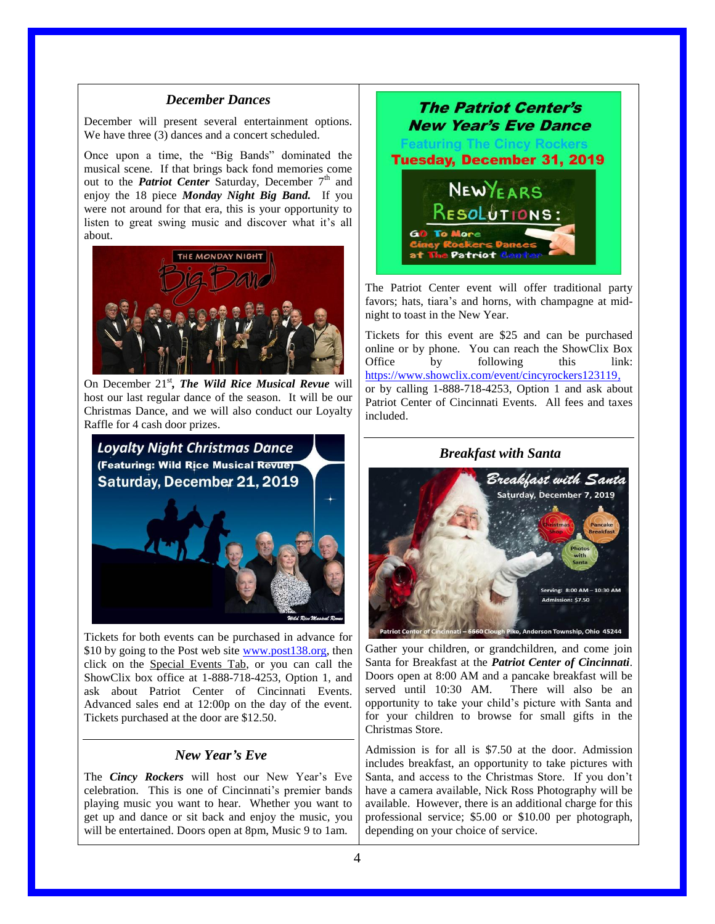#### *December Dances*

December will present several entertainment options. We have three (3) dances and a concert scheduled.

Once upon a time, the "Big Bands" dominated the musical scene. If that brings back fond memories come out to the *Patriot Center* Saturday, December 7<sup>th</sup> and enjoy the 18 piece *Monday Night Big Band.* If you were not around for that era, this is your opportunity to listen to great swing music and discover what it's all about.



On December 21<sup>st</sup>, *The Wild Rice Musical Revue* will host our last regular dance of the season. It will be our Christmas Dance, and we will also conduct our Loyalty Raffle for 4 cash door prizes.



Tickets for both events can be purchased in advance for \$10 by going to the Post web site [www.post138.org,](http://www.post138.org/) then click on the Special Events Tab, or you can call the ShowClix box office at 1-888-718-4253, Option 1, and ask about Patriot Center of Cincinnati Events. Advanced sales end at 12:00p on the day of the event. Tickets purchased at the door are \$12.50.

#### *New Year's Eve*

The *Cincy Rockers* will host our New Year's Eve celebration. This is one of Cincinnati's premier bands playing music you want to hear. Whether you want to get up and dance or sit back and enjoy the music, you will be entertained. Doors open at 8pm, Music 9 to 1am.



The Patriot Center event will offer traditional party favors; hats, tiara's and horns, with champagne at midnight to toast in the New Year.

Tickets for this event are \$25 and can be purchased online or by phone. You can reach the ShowClix Box Office by following this link: [https://www.showclix.com/event/cincyrockers123119,](https://www.showclix.com/event/cincyrockers123119) or by calling 1-888-718-4253, Option 1 and ask about Patriot Center of Cincinnati Events. All fees and taxes included.



Gather your children, or grandchildren, and come join Santa for Breakfast at the *Patriot Center of Cincinnati*. Doors open at 8:00 AM and a pancake breakfast will be served until 10:30 AM. There will also be an opportunity to take your child's picture with Santa and for your children to browse for small gifts in the Christmas Store.

Admission is for all is \$7.50 at the door. Admission includes breakfast, an opportunity to take pictures with Santa, and access to the Christmas Store. If you don't have a camera available, Nick Ross Photography will be available. However, there is an additional charge for this professional service; \$5.00 or \$10.00 per photograph, depending on your choice of service.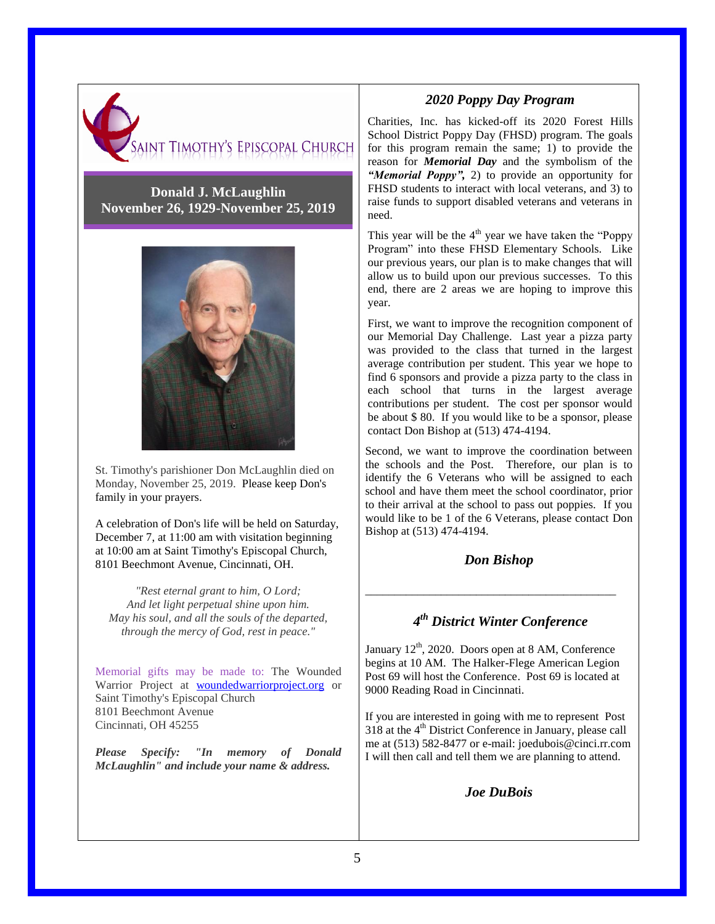

### **Donald J. McLaughlin November 26, 1929-November 25, 2019**



St. Timothy's parishioner Don McLaughlin died on Monday, November 25, 2019. Please keep Don's family in your prayers.

A celebration of Don's life will be held on Saturday, December 7, at 11:00 am with visitation beginning at 10:00 am at Saint Timothy's Episcopal Church, 8101 Beechmont Avenue, Cincinnati, OH.

*"Rest eternal grant to him, O Lord; And let light perpetual shine upon him. May his soul, and all the souls of the departed, through the mercy of God, rest in peace."*

Memorial gifts may be made to: The Wounded Warrior Project at woundedwarriorproject.org or Saint Timothy's Episcopal Church 8101 Beechmont Avenue Cincinnati, OH 45255

*Please Specify: "In memory of Donald McLaughlin" and include your name & address.*

### *2020 Poppy Day Program*

Charities, Inc. has kicked-off its 2020 Forest Hills School District Poppy Day (FHSD) program. The goals for this program remain the same; 1) to provide the reason for *Memorial Day* and the symbolism of the *"Memorial Poppy",* 2) to provide an opportunity for FHSD students to interact with local veterans, and 3) to raise funds to support disabled veterans and veterans in need.

This year will be the  $4<sup>th</sup>$  year we have taken the "Poppy Program" into these FHSD Elementary Schools. Like our previous years, our plan is to make changes that will allow us to build upon our previous successes. To this end, there are 2 areas we are hoping to improve this year.

First, we want to improve the recognition component of our Memorial Day Challenge. Last year a pizza party was provided to the class that turned in the largest average contribution per student. This year we hope to find 6 sponsors and provide a pizza party to the class in each school that turns in the largest average contributions per student. The cost per sponsor would be about \$ 80. If you would like to be a sponsor, please contact Don Bishop at (513) 474-4194.

Second, we want to improve the coordination between the schools and the Post. Therefore, our plan is to identify the 6 Veterans who will be assigned to each school and have them meet the school coordinator, prior to their arrival at the school to pass out poppies. If you would like to be 1 of the 6 Veterans, please contact Don Bishop at (513) 474-4194.

### *Don Bishop*

\_\_\_\_\_\_\_\_\_\_\_\_\_\_\_\_\_\_\_\_\_\_\_\_\_\_\_\_\_\_\_\_\_\_\_\_\_\_\_\_\_\_\_

## *4 th District Winter Conference*

January  $12<sup>th</sup>$ , 2020. Doors open at 8 AM, Conference begins at 10 AM. The Halker-Flege American Legion Post 69 will host the Conference. Post 69 is located at 9000 Reading Road in Cincinnati.

If you are interested in going with me to represent Post  $318$  at the  $4<sup>th</sup>$  District Conference in January, please call me at (513) 582-8477 or e-mail: joedubois@cinci.rr.com I will then call and tell them we are planning to attend.

*Joe DuBois*